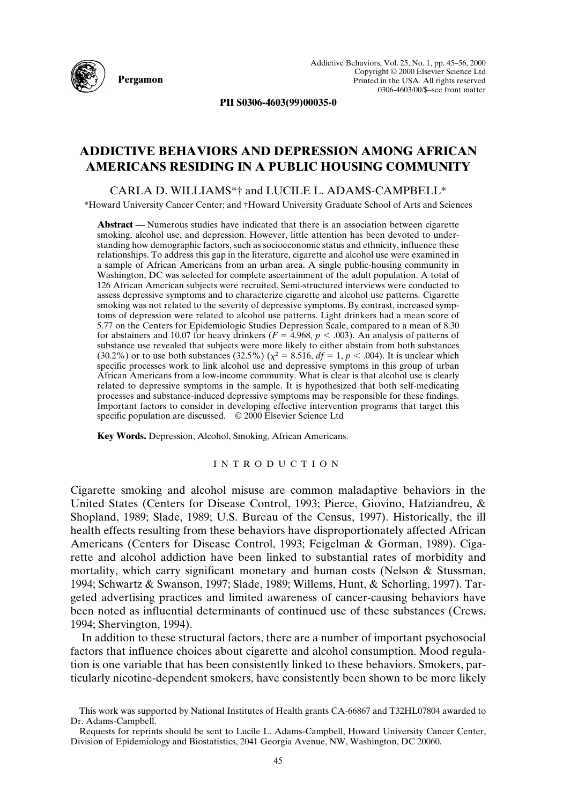

**PII S0306-4603(99)00035-0**

## **ADDICTIVE BEHAVIORS AND DEPRESSION AMONG AFRICAN AMERICANS RESIDING IN A PUBLIC HOUSING COMMUNITY**

CARLA D. WILLIAMS\*† and LUCILE L. ADAMS-CAMPBELL\*

\*Howard University Cancer Center; and †Howard University Graduate School of Arts and Sciences

**Abstract —** Numerous studies have indicated that there is an association between cigarette smoking, alcohol use, and depression. However, little attention has been devoted to understanding how demographic factors, such as socioeconomic status and ethnicity, influence these relationships. To address this gap in the literature, cigarette and alcohol use were examined in a sample of African Americans from an urban area. A single public-housing community in Washington, DC was selected for complete ascertainment of the adult population. A total of 126 African American subjects were recruited. Semi-structured interviews were conducted to assess depressive symptoms and to characterize cigarette and alcohol use patterns. Cigarette smoking was not related to the severity of depressive symptoms. By contrast, increased symptoms of depression were related to alcohol use patterns. Light drinkers had a mean score of 5.77 on the Centers for Epidemiologic Studies Depression Scale, compared to a mean of 8.30 for abstainers and 10.07 for heavy drinkers ( $F = 4.968$ ,  $p < .003$ ). An analysis of patterns of substance use revealed that subjects were more likely to either abstain from both substances (30.2%) or to use both substances (32.5%) ( $\chi^2 = 8.516$ ,  $df = 1$ ,  $p < .004$ ). It is unclear which specific processes work to link alcohol use and depressive symptoms in this group of urban African Americans from a low-income community. What is clear is that alcohol use is clearly related to depressive symptoms in the sample. It is hypothesized that both self-medicating processes and substance-induced depressive symptoms may be responsible for these findings. Important factors to consider in developing effective intervention programs that target this specific population are discussed. © 2000 Elsevier Science Ltd

**Key Words.** Depression, Alcohol, Smoking, African Americans.

## INTRODUCTION

Cigarette smoking and alcohol misuse are common maladaptive behaviors in the United States (Centers for Disease Control, 1993; Pierce, Giovino, Hatziandreu, & Shopland, 1989; Slade, 1989; U.S. Bureau of the Census, 1997). Historically, the ill health effects resulting from these behaviors have disproportionately affected African Americans (Centers for Disease Control, 1993; Feigelman & Gorman, 1989). Cigarette and alcohol addiction have been linked to substantial rates of morbidity and mortality, which carry significant monetary and human costs (Nelson & Stussman, 1994; Schwartz & Swanson, 1997; Slade, 1989; Willems, Hunt, & Schorling, 1997). Targeted advertising practices and limited awareness of cancer-causing behaviors have been noted as influential determinants of continued use of these substances (Crews, 1994; Shervington, 1994).

In addition to these structural factors, there are a number of important psychosocial factors that influence choices about cigarette and alcohol consumption. Mood regulation is one variable that has been consistently linked to these behaviors. Smokers, particularly nicotine-dependent smokers, have consistently been shown to be more likely

This work was supported by National Institutes of Health grants CA-66867 and T32HL07804 awarded to Dr. Adams-Campbell.

Requests for reprints should be sent to Lucile L. Adams-Campbell, Howard University Cancer Center, Division of Epidemiology and Biostatistics, 2041 Georgia Avenue, NW, Washington, DC 20060.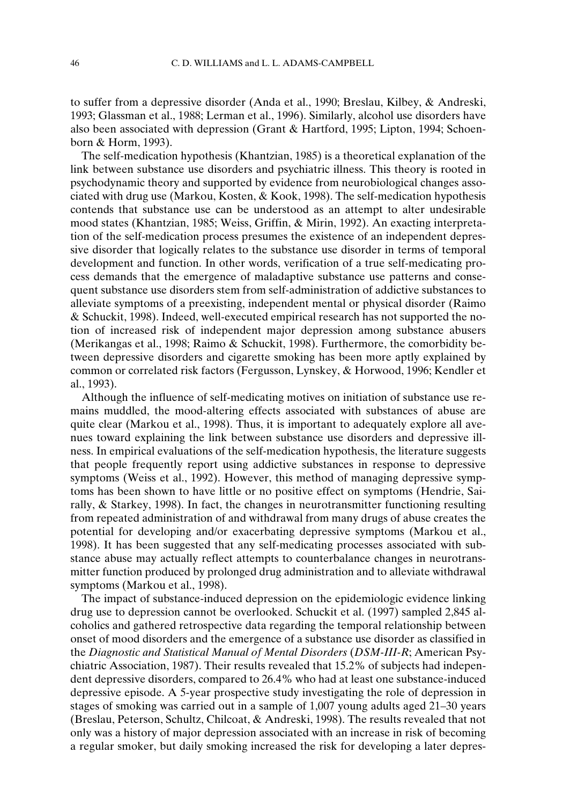to suffer from a depressive disorder (Anda et al., 1990; Breslau, Kilbey, & Andreski, 1993; Glassman et al., 1988; Lerman et al., 1996). Similarly, alcohol use disorders have also been associated with depression (Grant & Hartford, 1995; Lipton, 1994; Schoenborn & Horm, 1993).

The self-medication hypothesis (Khantzian, 1985) is a theoretical explanation of the link between substance use disorders and psychiatric illness. This theory is rooted in psychodynamic theory and supported by evidence from neurobiological changes associated with drug use (Markou, Kosten, & Kook, 1998). The self-medication hypothesis contends that substance use can be understood as an attempt to alter undesirable mood states (Khantzian, 1985; Weiss, Griffin, & Mirin, 1992). An exacting interpretation of the self-medication process presumes the existence of an independent depressive disorder that logically relates to the substance use disorder in terms of temporal development and function. In other words, verification of a true self-medicating process demands that the emergence of maladaptive substance use patterns and consequent substance use disorders stem from self-administration of addictive substances to alleviate symptoms of a preexisting, independent mental or physical disorder (Raimo & Schuckit, 1998). Indeed, well-executed empirical research has not supported the notion of increased risk of independent major depression among substance abusers (Merikangas et al., 1998; Raimo & Schuckit, 1998). Furthermore, the comorbidity between depressive disorders and cigarette smoking has been more aptly explained by common or correlated risk factors (Fergusson, Lynskey, & Horwood, 1996; Kendler et al., 1993).

Although the influence of self-medicating motives on initiation of substance use remains muddled, the mood-altering effects associated with substances of abuse are quite clear (Markou et al., 1998). Thus, it is important to adequately explore all avenues toward explaining the link between substance use disorders and depressive illness. In empirical evaluations of the self-medication hypothesis, the literature suggests that people frequently report using addictive substances in response to depressive symptoms (Weiss et al., 1992). However, this method of managing depressive symptoms has been shown to have little or no positive effect on symptoms (Hendrie, Sairally, & Starkey, 1998). In fact, the changes in neurotransmitter functioning resulting from repeated administration of and withdrawal from many drugs of abuse creates the potential for developing and/or exacerbating depressive symptoms (Markou et al., 1998). It has been suggested that any self-medicating processes associated with substance abuse may actually reflect attempts to counterbalance changes in neurotransmitter function produced by prolonged drug administration and to alleviate withdrawal symptoms (Markou et al., 1998).

The impact of substance-induced depression on the epidemiologic evidence linking drug use to depression cannot be overlooked. Schuckit et al. (1997) sampled 2,845 alcoholics and gathered retrospective data regarding the temporal relationship between onset of mood disorders and the emergence of a substance use disorder as classified in the *Diagnostic and Statistical Manual of Mental Disorders* (*DSM-III-R*; American Psychiatric Association, 1987). Their results revealed that 15.2% of subjects had independent depressive disorders, compared to 26.4% who had at least one substance-induced depressive episode. A 5-year prospective study investigating the role of depression in stages of smoking was carried out in a sample of 1,007 young adults aged 21–30 years (Breslau, Peterson, Schultz, Chilcoat, & Andreski, 1998). The results revealed that not only was a history of major depression associated with an increase in risk of becoming a regular smoker, but daily smoking increased the risk for developing a later depres-